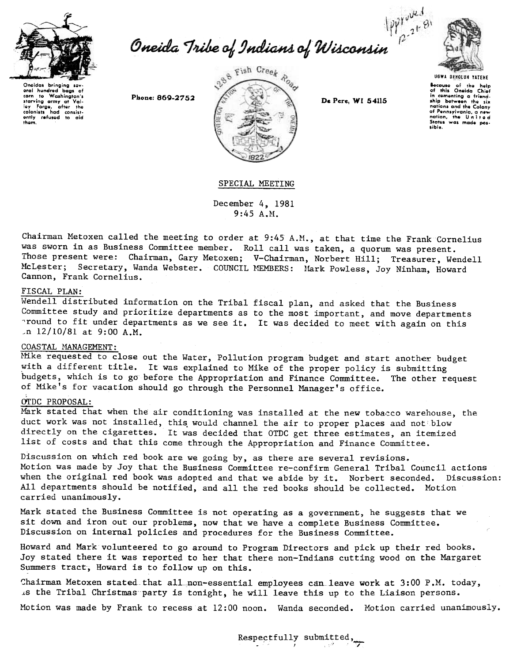

Oneida Tribe of Indians of Wisconsin  $\frac{|\rho\gamma|^{\frac{1}{\gamma+2}+\frac{\alpha}{2}}}{\rho\gamma^2}$ 



Oneidas bringing hundred oral bags of carn to Washington's ley Forge, after the<br>colonists had consist-<br>ently refused to aid them.

Phone: 869-2752



De Pere, WI 54115

.<br>this Oneida Chief<br>this Oneida Chief Bocauso  $\tilde{a}$ in comenting a friend-<br>ship between the six of Pennsylvania, a new<br>nation, the United sibio.

## SPECIAL MEETING

December 4, 1981  $9:45 A.M.$ 

Chairman Metoxen called the meeting to order at 9:45 A.M., at that time the Frank Cornelius was sworn in as Business Committee member. Roll call was taken, a quorum was present. Those present were: Chairman, Gary Metoxen; V-Chairman, Norbert Hill; Treasurer, Wendell McLester; Secretary, Wanda Webster. COUNCIL MEMBERS: Mark Powless, Joy Ninham, Howard Cannon, Frank Cornelius.

## FISCAL PLAN:

Wendell distributed information on the Tribal fiscal plan, and asked that the Business Committee study and prioritize departments as to the most important, and move departments pround to fit under departments as we see it. It was decided to meet with again on this  $\ln 12/10/81$  at 9:00 A.M.

## COASTAL MANAGEMENT:

Mike requested to close out the Water, Pollution program budget and start another budget with a different title. It was explained to Mike of the proper policy is submitting budgets, which is to go before the Appropriation and Finance Committee. The other request of Mike's for vacation should go through the Personnel Manager's office.

## OTDC PROPOSAL:

Mark stated that when the air conditioning was installed at the new tobacco warehouse, the duct work was not installed, this would channel the air to proper places and not blow directly on the cigarettes. It was decided that OTDC get three estimates, an itemized list of costs and that this come through the Appropriation and Finance Committee.

Discussion on which red book are we going by, as there are several revisions. Motion was made by Joy that the Business Committee re-confirm General Tribal Council actions when the original red book was adopted and that we abide by it. Norbert seconded. Discussion: All departments should be notified, and all the red books should be collected. Motion carried unanimously.

Mark stated the Business Committee is not operating as a government, he suggests that we sit down and iron out our problems, now that we have a complete Business Committee. Discussion on internal policies and procedures for the Business Committee.

Howard and Mark volunteered to go around to Program Directors and pick up their red books. Joy stated there it was reported to her that there non-Indians cutting wood on the Margaret Summers tract, Howard is to follow up on this.

Chairman Metoxen stated that all non-essential employees can leave work at 3:00 P.M. today, is the Tribal Christmas party is tonight, he will leave this up to the Liaison persons.

Motion was made by Frank to recess at 12:00 noon. Wanda seconded. Motion carried unanimously.